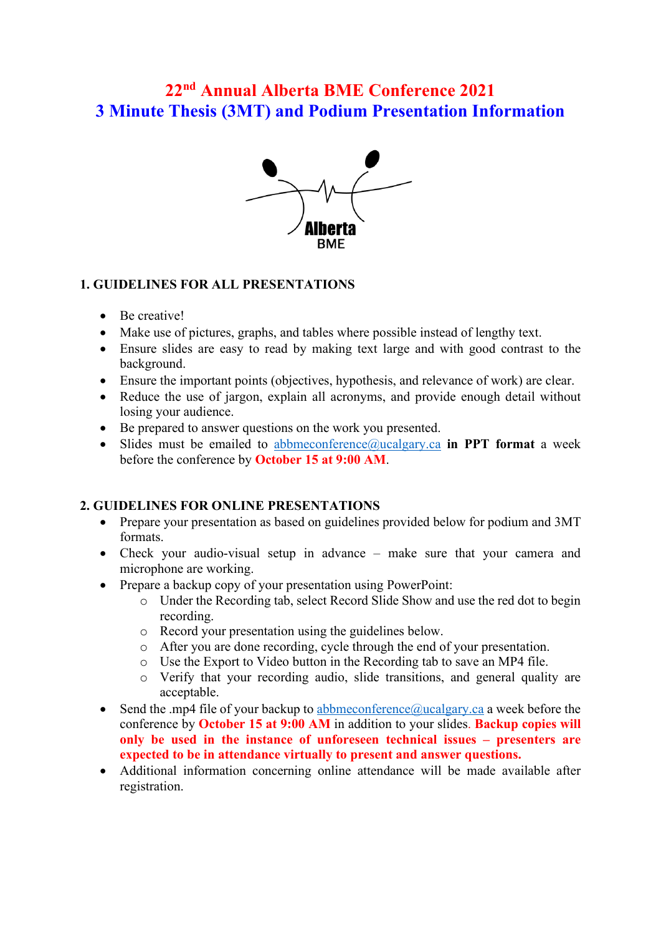# **22nd Annual Alberta BME Conference 2021 3 Minute Thesis (3MT) and Podium Presentation Information**



#### **1. GUIDELINES FOR ALL PRESENTATIONS**

- Be creative!
- Make use of pictures, graphs, and tables where possible instead of lengthy text.
- Ensure slides are easy to read by making text large and with good contrast to the background.
- Ensure the important points (objectives, hypothesis, and relevance of work) are clear.
- Reduce the use of jargon, explain all acronyms, and provide enough detail without losing your audience.
- Be prepared to answer questions on the work you presented.
- Slides must be emailed to [abbmeconference@ucalgary.ca](about:blank) **in PPT format** a week before the conference by **October 15 at 9:00 AM**.

## **2. GUIDELINES FOR ONLINE PRESENTATIONS**

- Prepare your presentation as based on guidelines provided below for podium and 3MT formats.
- Check your audio-visual setup in advance make sure that your camera and microphone are working.
- Prepare a backup copy of your presentation using PowerPoint:
	- o Under the Recording tab, select Record Slide Show and use the red dot to begin recording.
	- o Record your presentation using the guidelines below.
	- o After you are done recording, cycle through the end of your presentation.
	- o Use the Export to Video button in the Recording tab to save an MP4 file.
	- o Verify that your recording audio, slide transitions, and general quality are acceptable.
- Send the .mp4 file of your backup to abbmeconference  $\omega$  ucalgary.ca a week before the conference by **October 15 at 9:00 AM** in addition to your slides. **Backup copies will only be used in the instance of unforeseen technical issues – presenters are expected to be in attendance virtually to present and answer questions.**
- Additional information concerning online attendance will be made available after registration.